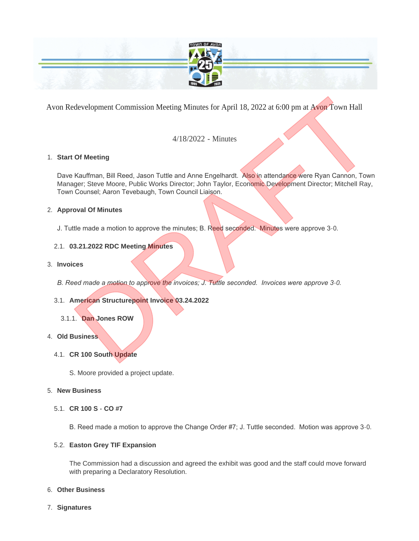

Avon Redevelopment Commission Meeting Minutes for April 18, 2022 at 6:00 pm at Avon Town Hall

# 4/18/2022 - Minutes

## **Start Of Meeting** 1.

Dave Kauffman, Bill Reed, Jason Tuttle and Anne Engelhardt. Also in attendance were Ryan Cannon, Town Manager; Steve Moore, Public Works Director; John Taylor, Economic Development Director; Mitchell Ray, Town Counsel; Aaron Tevebaugh, Town Council Liaison. development Commission Meeting Minutes for April 18, 2022 at 6:00 pm at Avon Town Hall<br>4/18/2022 - Minutes<br>Dr Meeting<br>Rauffman, Bill Reed, Jason Tuttle and Anne Engelhardt. Also in attendance were Ryan Cannon, Town<br>Counsel

#### **Approval Of Minutes** 2.

J. Tuttle made a motion to approve the minutes; B. Reed seconded. Minutes were approve 3-0.

## **03.21.2022 RDC Meeting Minutes** 2.1.

#### **Invoices** 3.

*B. Reed made a motion to approve the invoices; J. Tuttle seconded. Invoices were approve 3-0.*

#### **American Structurepoint Invoice 03.24.2022** 3.1.

#### **Dan Jones ROW** 3.1.1.

#### **Old Business** 4.

- **CR 100 South Update** 4.1.
	- S. Moore provided a project update.

#### **New Business** 5.

**CR 100 S - CO #7** 5.1.

B. Reed made a motion to approve the Change Order #7; J. Tuttle seconded. Motion was approve 3-0.

#### **Easton Grey TIF Expansion** 5.2.

The Commission had a discussion and agreed the exhibit was good and the staff could move forward with preparing a Declaratory Resolution.

#### **Other Business** 6.

**Signatures** 7.